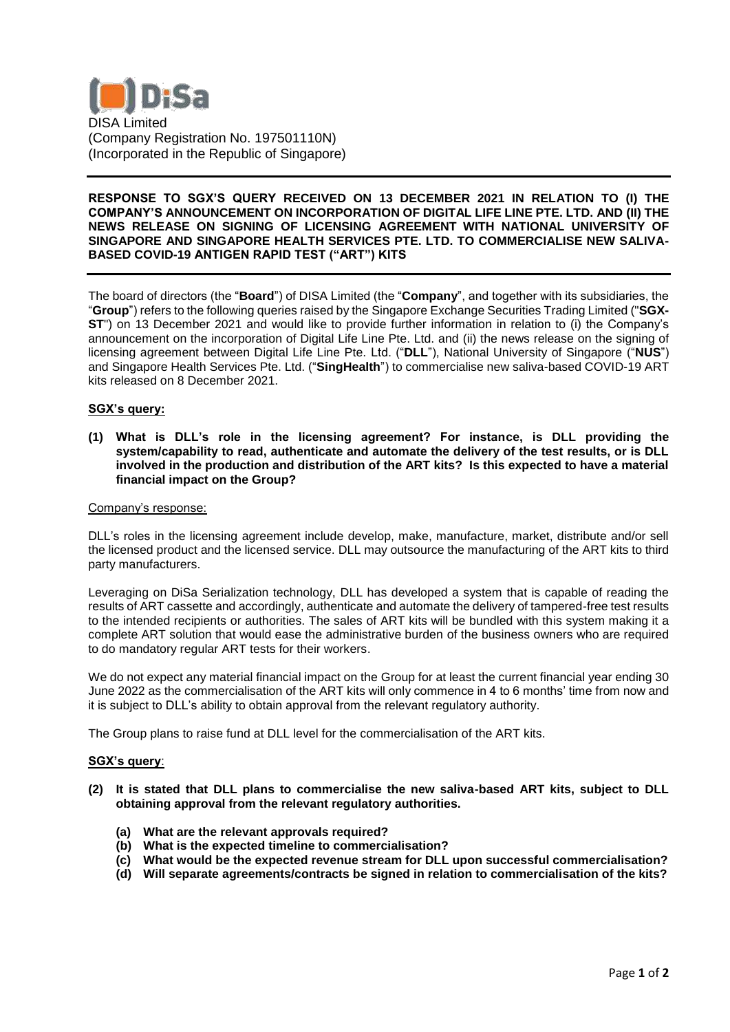

## **RESPONSE TO SGX'S QUERY RECEIVED ON 13 DECEMBER 2021 IN RELATION TO (I) THE COMPANY'S ANNOUNCEMENT ON INCORPORATION OF DIGITAL LIFE LINE PTE. LTD. AND (II) THE NEWS RELEASE ON SIGNING OF LICENSING AGREEMENT WITH NATIONAL UNIVERSITY OF SINGAPORE AND SINGAPORE HEALTH SERVICES PTE. LTD. TO COMMERCIALISE NEW SALIVA-BASED COVID-19 ANTIGEN RAPID TEST ("ART") KITS**

The board of directors (the "**Board**") of DISA Limited (the "**Company**", and together with its subsidiaries, the "**Group**") refers to the following queries raised by the Singapore Exchange Securities Trading Limited ("**SGX-ST**") on 13 December 2021 and would like to provide further information in relation to (i) the Company's announcement on the incorporation of Digital Life Line Pte. Ltd. and (ii) the news release on the signing of licensing agreement between Digital Life Line Pte. Ltd. ("**DLL**"), National University of Singapore ("**NUS**") and Singapore Health Services Pte. Ltd. ("**SingHealth**") to commercialise new saliva-based COVID-19 ART kits released on 8 December 2021.

# **SGX's query:**

**(1) What is DLL's role in the licensing agreement? For instance, is DLL providing the system/capability to read, authenticate and automate the delivery of the test results, or is DLL involved in the production and distribution of the ART kits? Is this expected to have a material financial impact on the Group?**

#### Company's response:

DLL's roles in the licensing agreement include develop, make, manufacture, market, distribute and/or sell the licensed product and the licensed service. DLL may outsource the manufacturing of the ART kits to third party manufacturers.

Leveraging on DiSa Serialization technology, DLL has developed a system that is capable of reading the results of ART cassette and accordingly, authenticate and automate the delivery of tampered-free test results to the intended recipients or authorities. The sales of ART kits will be bundled with this system making it a complete ART solution that would ease the administrative burden of the business owners who are required to do mandatory regular ART tests for their workers.

We do not expect any material financial impact on the Group for at least the current financial year ending 30 June 2022 as the commercialisation of the ART kits will only commence in 4 to 6 months' time from now and it is subject to DLL's ability to obtain approval from the relevant regulatory authority.

The Group plans to raise fund at DLL level for the commercialisation of the ART kits.

### **SGX's query**:

- **(2) It is stated that DLL plans to commercialise the new saliva-based ART kits, subject to DLL obtaining approval from the relevant regulatory authorities.**
	- **(a) What are the relevant approvals required?**
	- **(b) What is the expected timeline to commercialisation?**
	- **(c) What would be the expected revenue stream for DLL upon successful commercialisation?**
	- **(d) Will separate agreements/contracts be signed in relation to commercialisation of the kits?**